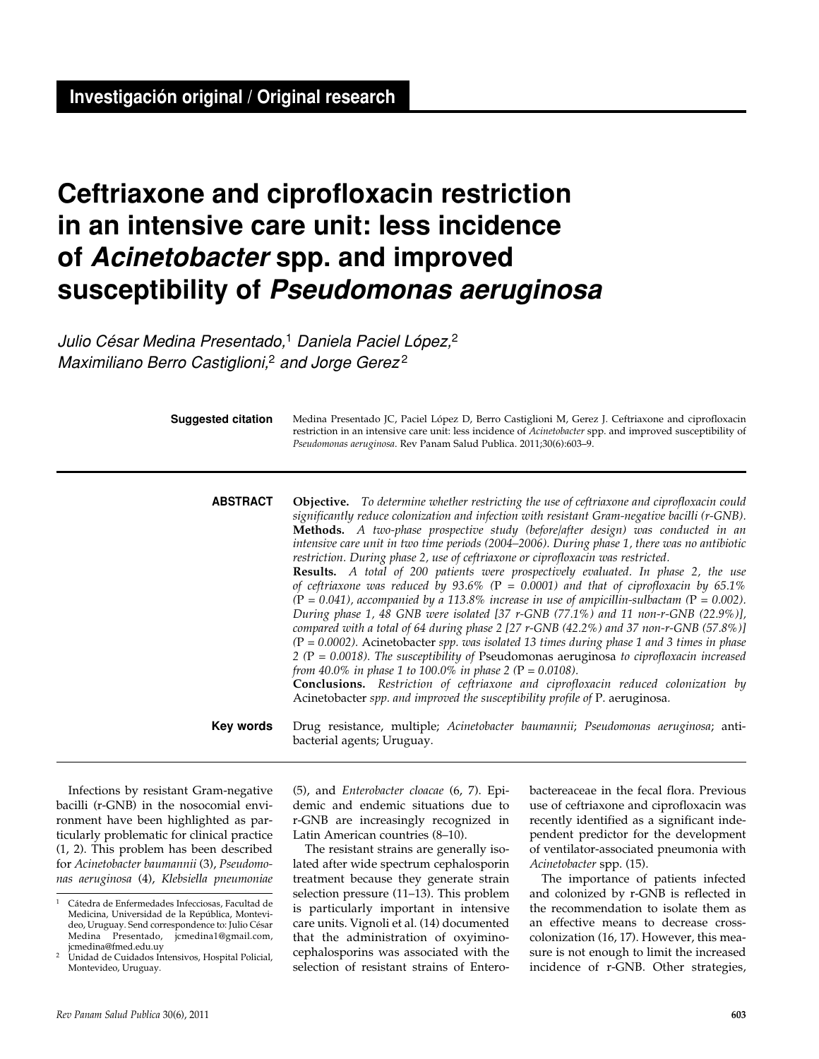# **Ceftriaxone and ciprofloxacin restriction in an intensive care unit: less incidence of** *Acinetobacter* **spp. and improved susceptibility of** *Pseudomonas aeruginosa*

*Julio César Medina Presentado,*1 *Daniela Paciel López,*<sup>2</sup> *Maximiliano Berro Castiglioni,*2 *and Jorge Gerez* <sup>2</sup>

**Suggested citation**

Medina Presentado JC, Paciel López D, Berro Castiglioni M, Gerez J. Ceftriaxone and ciprofloxacin restriction in an intensive care unit: less incidence of *Acinetobacter* spp. and improved susceptibility of *Pseudomonas aeruginosa*. Rev Panam Salud Publica. 2011;30(6):603–9.

**Objective.** *To determine whether restricting the use of ceftriaxone and ciprofloxacin could significantly reduce colonization and infection with resistant Gram-negative bacilli (r-GNB).* **Methods.** *A two-phase prospective study (before/after design) was conducted in an intensive care unit in two time periods (2004–2006). During phase 1, there was no antibiotic restriction. During phase 2, use of ceftriaxone or ciprofloxacin was restricted.* **Results.** *A total of 200 patients were prospectively evaluated. In phase 2, the use of ceftriaxone was reduced by 93.6% (*P *= 0.0001) and that of ciprofloxacin by 65.1%*   $(P = 0.041)$ , accompanied by a 113.8% increase in use of ampicillin-sulbactam  $(P = 0.002)$ . *During phase 1, 48 GNB were isolated [37 r-GNB (77.1%) and 11 non-r-GNB (22.9%)], compared with a total of 64 during phase 2 [27 r-GNB (42.2%) and 37 non-r-GNB (57.8%)] (*P *= 0.0002).* Acinetobacter *spp. was isolated 13 times during phase 1 and 3 times in phase 2 (*P *= 0.0018). The susceptibility of* Pseudomonas aeruginosa *to ciprofloxacin increased from 40.0% in phase 1 to 100.0% in phase 2 (*P *= 0.0108).* **Conclusions.** *Restriction of ceftriaxone and ciprofloxacin reduced colonization by*  Acinetobacter *spp. and improved the susceptibility profile of* P. aeruginosa*.* Drug resistance, multiple; *Acinetobacter baumannii*; *Pseudomonas aeruginosa*; antibacterial agents; Uruguay. **abstract Key words**

Infections by resistant Gram-negative bacilli (r-GNB) in the nosocomial environment have been highlighted as particularly problematic for clinical practice (1, 2). This problem has been described for *Acinetobacter baumannii* (3), *Pseudomonas aeruginosa* (4), *Klebsiella pneumoniae* (5), and *Enterobacter cloacae* (6, 7). Epidemic and endemic situations due to r-GNB are increasingly recognized in Latin American countries (8–10).

The resistant strains are generally isolated after wide spectrum cephalosporin treatment because they generate strain selection pressure (11–13). This problem is particularly important in intensive care units. Vignoli et al. (14) documented that the administration of oxyiminocephalosporins was associated with the selection of resistant strains of Enterobactereaceae in the fecal flora. Previous use of ceftriaxone and ciprofloxacin was recently identified as a significant independent predictor for the development of ventilator-associated pneumonia with *Acinetobacter* spp. (15).

The importance of patients infected and colonized by r-GNB is reflected in the recommendation to isolate them as an effective means to decrease crosscolonization (16, 17). However, this measure is not enough to limit the increased incidence of r-GNB. Other strategies,

<sup>1</sup> Cátedra de Enfermedades Infecciosas, Facultad de Medicina, Universidad de la República, Montevideo, Uruguay. Send correspondence to: Julio César Medina Presentado, jcmedina1@gmail.com, jcmedina@fmed.edu.uy

<sup>2</sup> Unidad de Cuidados Intensivos, Hospital Policial, Montevideo, Uruguay.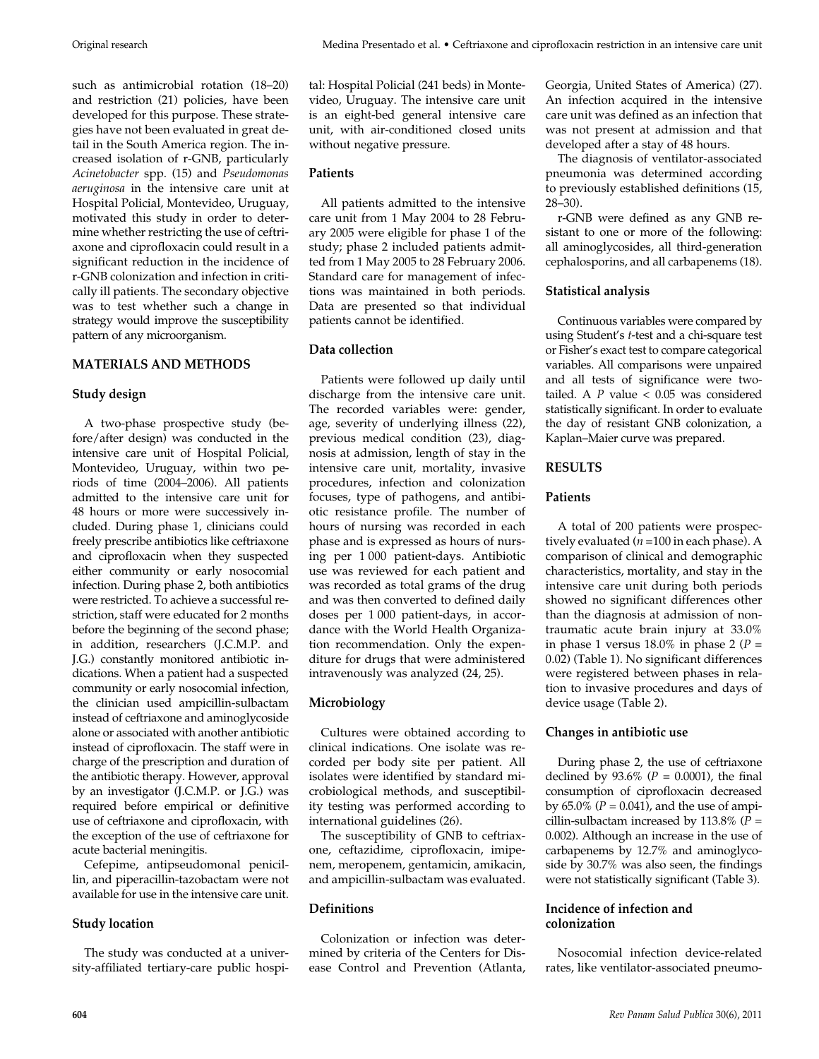such as antimicrobial rotation (18–20) and restriction (21) policies, have been developed for this purpose. These strategies have not been evaluated in great detail in the South America region. The increased isolation of r-GNB, particularly *Acinetobacter* spp. (15) and *Pseudomonas aeruginosa* in the intensive care unit at Hospital Policial, Montevideo, Uruguay, motivated this study in order to determine whether restricting the use of ceftriaxone and ciprofloxacin could result in a significant reduction in the incidence of r-GNB colonization and infection in critically ill patients. The secondary objective was to test whether such a change in strategy would improve the susceptibility pattern of any microorganism.

## **MATERIALS AND METHODS**

#### **Study design**

A two-phase prospective study (before/after design) was conducted in the intensive care unit of Hospital Policial, Montevideo, Uruguay, within two periods of time (2004–2006). All patients admitted to the intensive care unit for 48 hours or more were successively included. During phase 1, clinicians could freely prescribe antibiotics like ceftriaxone and ciprofloxacin when they suspected either community or early nosocomial infection. During phase 2, both antibiotics were restricted. To achieve a successful restriction, staff were educated for 2 months before the beginning of the second phase; in addition, researchers (J.C.M.P. and J.G.) constantly monitored antibiotic indications. When a patient had a suspected community or early nosocomial infection, the clinician used ampicillin-sulbactam instead of ceftriaxone and aminoglycoside alone or associated with another antibiotic instead of ciprofloxacin. The staff were in charge of the prescription and duration of the antibiotic therapy. However, approval by an investigator (J.C.M.P. or J.G.) was required before empirical or definitive use of ceftriaxone and ciprofloxacin, with the exception of the use of ceftriaxone for acute bacterial meningitis.

Cefepime, antipseudomonal penicillin, and piperacillin-tazobactam were not available for use in the intensive care unit.

#### **Study location**

The study was conducted at a university-affiliated tertiary-care public hospital: Hospital Policial (241 beds) in Montevideo, Uruguay. The intensive care unit is an eight-bed general intensive care unit, with air-conditioned closed units without negative pressure.

## **Patients**

All patients admitted to the intensive care unit from 1 May 2004 to 28 February 2005 were eligible for phase 1 of the study; phase 2 included patients admitted from 1 May 2005 to 28 February 2006. Standard care for management of infections was maintained in both periods. Data are presented so that individual patients cannot be identified.

## **Data collection**

Patients were followed up daily until discharge from the intensive care unit. The recorded variables were: gender, age, severity of underlying illness (22), previous medical condition (23), diagnosis at admission, length of stay in the intensive care unit, mortality, invasive procedures, infection and colonization focuses, type of pathogens, and antibiotic resistance profile. The number of hours of nursing was recorded in each phase and is expressed as hours of nursing per 1 000 patient-days. Antibiotic use was reviewed for each patient and was recorded as total grams of the drug and was then converted to defined daily doses per 1 000 patient-days, in accordance with the World Health Organization recommendation. Only the expenditure for drugs that were administered intravenously was analyzed (24, 25).

# **Microbiology**

Cultures were obtained according to clinical indications. One isolate was recorded per body site per patient. All isolates were identified by standard microbiological methods, and susceptibility testing was performed according to international guidelines (26).

The susceptibility of GNB to ceftriaxone, ceftazidime, ciprofloxacin, imipenem, meropenem, gentamicin, amikacin, and ampicillin-sulbactam was evaluated.

#### **Definitions**

Colonization or infection was determined by criteria of the Centers for Disease Control and Prevention (Atlanta, Georgia, United States of America) (27). An infection acquired in the intensive care unit was defined as an infection that was not present at admission and that developed after a stay of 48 hours.

The diagnosis of ventilator-associated pneumonia was determined according to previously established definitions (15, 28–30).

r-GNB were defined as any GNB resistant to one or more of the following: all aminoglycosides, all third-generation cephalosporins, and all carbapenems (18).

## **Statistical analysis**

Continuous variables were compared by using Student's *t*-test and a chi-square test or Fisher's exact test to compare categorical variables. All comparisons were unpaired and all tests of significance were twotailed. A *P* value < 0.05 was considered statistically significant. In order to evaluate the day of resistant GNB colonization, a Kaplan–Maier curve was prepared.

## **RESULTS**

## **Patients**

A total of 200 patients were prospectively evaluated (*n* =100 in each phase). A comparison of clinical and demographic characteristics, mortality, and stay in the intensive care unit during both periods showed no significant differences other than the diagnosis at admission of nontraumatic acute brain injury at 33.0% in phase 1 versus  $18.0\%$  in phase 2 ( $P =$ 0.02) (Table 1). No significant differences were registered between phases in relation to invasive procedures and days of device usage (Table 2).

# **Changes in antibiotic use**

During phase 2, the use of ceftriaxone declined by  $93.6\%$  ( $P = 0.0001$ ), the final consumption of ciprofloxacin decreased by  $65.0\%$  ( $P = 0.041$ ), and the use of ampicillin-sulbactam increased by 113.8% (*P* = 0.002). Although an increase in the use of carbapenems by 12.7% and aminoglycoside by 30.7% was also seen, the findings were not statistically significant (Table 3).

#### **Incidence of infection and colonization**

Nosocomial infection device-related rates, like ventilator-associated pneumo-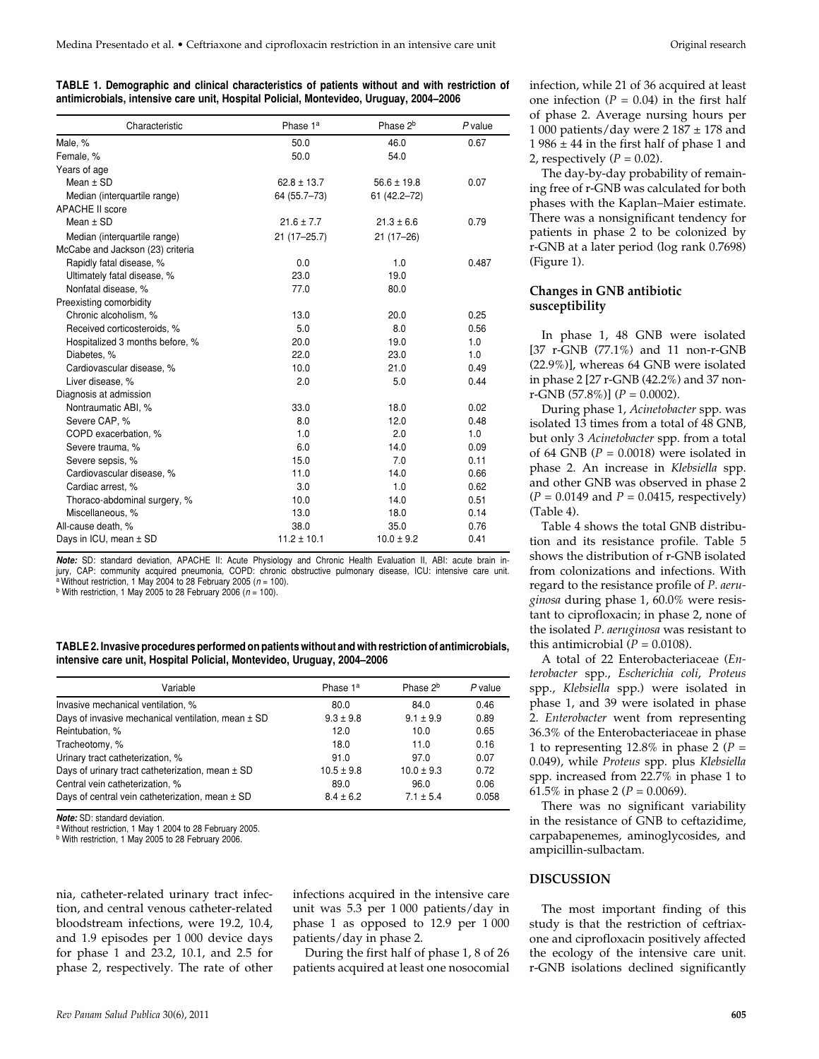|  |                                                                                        |  | TABLE 1. Demographic and clinical characteristics of patients without and with restriction of |
|--|----------------------------------------------------------------------------------------|--|-----------------------------------------------------------------------------------------------|
|  | antimicrobials, intensive care unit, Hospital Policial, Montevideo, Uruguay, 2004–2006 |  |                                                                                               |

| Characteristic                   | Phase 1 <sup>a</sup> | Phase 2 <sup>b</sup> | P value |
|----------------------------------|----------------------|----------------------|---------|
| Male, %                          | 50.0                 | 46.0                 | 0.67    |
| Female, %                        | 50.0                 | 54.0                 |         |
| Years of age                     |                      |                      |         |
| Mean $\pm$ SD                    | $62.8 \pm 13.7$      | $56.6 \pm 19.8$      | 0.07    |
| Median (interquartile range)     | 64 (55.7-73)         | 61 (42.2-72)         |         |
| <b>APACHE II score</b>           |                      |                      |         |
| Mean $\pm$ SD                    | $21.6 \pm 7.7$       | $21.3 \pm 6.6$       | 0.79    |
| Median (interquartile range)     | 21 (17-25.7)         | $21(17-26)$          |         |
| McCabe and Jackson (23) criteria |                      |                      |         |
| Rapidly fatal disease, %         | 0.0                  | 1.0                  | 0.487   |
| Ultimately fatal disease, %      | 23.0                 | 19.0                 |         |
| Nonfatal disease, %              | 77.0                 | 80.0                 |         |
| Preexisting comorbidity          |                      |                      |         |
| Chronic alcoholism, %            | 13.0                 | 20.0                 | 0.25    |
| Received corticosteroids, %      | 5.0                  | 8.0                  | 0.56    |
| Hospitalized 3 months before, %  | 20.0                 | 19.0                 | 1.0     |
| Diabetes, %                      | 22.0                 | 23.0                 | 1.0     |
| Cardiovascular disease, %        | 10.0                 | 21.0                 | 0.49    |
| Liver disease, %                 | 2.0                  | 5.0                  | 0.44    |
| Diagnosis at admission           |                      |                      |         |
| Nontraumatic ABI, %              | 33.0                 | 18.0                 | 0.02    |
| Severe CAP, %                    | 8.0                  | 12.0                 | 0.48    |
| COPD exacerbation, %             | 1.0                  | 2.0                  | 1.0     |
| Severe trauma, %                 | 6.0                  | 14.0                 | 0.09    |
| Severe sepsis, %                 | 15.0                 | 7.0                  | 0.11    |
| Cardiovascular disease, %        | 11.0                 | 14.0                 | 0.66    |
| Cardiac arrest, %                | 3.0                  | 1.0                  | 0.62    |
| Thoraco-abdominal surgery, %     | 10.0                 | 14.0                 | 0.51    |
| Miscellaneous, %                 | 13.0                 | 18.0                 | 0.14    |
| All-cause death, %               | 38.0                 | 35.0                 | 0.76    |
| Days in ICU, mean ± SD           | $11.2 \pm 10.1$      | $10.0 \pm 9.2$       | 0.41    |

*Note:* SD: standard deviation, APACHE II: Acute Physiology and Chronic Health Evaluation II, ABI: acute brain injury, CAP: community acquired pneumonia, COPD: chronic obstructive pulmonary disease, ICU: intensive care unit. a Without restriction, 1 May 2004 to 28 February 2005 (*n* = 100).

 $b$  With restriction, 1 May 2005 to 28 February 2006 ( $n = 100$ ).

**TABLE 2. Invasive procedures performed on patients without and with restriction of antimicrobials, intensive care unit, Hospital Policial, Montevideo, Uruguay, 2004–2006**

| Variable                                           | Phase 1 <sup>a</sup> | Phase 2 <sup>b</sup> | P value |
|----------------------------------------------------|----------------------|----------------------|---------|
| Invasive mechanical ventilation, %                 | 80.0                 | 84.0                 | 0.46    |
| Days of invasive mechanical ventilation, mean ± SD | $9.3 \pm 9.8$        | $9.1 \pm 9.9$        | 0.89    |
| Reintubation, %                                    | 12.0                 | 10.0                 | 0.65    |
| Tracheotomy, %                                     | 18.0                 | 11.0                 | 0.16    |
| Urinary tract catheterization, %                   | 91.0                 | 97.0                 | 0.07    |
| Days of urinary tract catheterization, mean ± SD   | $10.5 \pm 9.8$       | $10.0 \pm 9.3$       | 0.72    |
| Central vein catheterization, %                    | 89.0                 | 96.0                 | 0.06    |
| Days of central vein catheterization, mean ± SD    | $8.4 \pm 6.2$        | $7.1 \pm 5.4$        | 0.058   |

*Note:* SD: standard deviation.

a Without restriction, 1 May 1 2004 to 28 February 2005.

b With restriction, 1 May 2005 to 28 February 2006.

nia, catheter-related urinary tract infection, and central venous catheter-related bloodstream infections, were 19.2, 10.4, and 1.9 episodes per 1 000 device days for phase 1 and 23.2, 10.1, and 2.5 for phase 2, respectively. The rate of other infections acquired in the intensive care unit was 5.3 per 1 000 patients/day in phase 1 as opposed to 12.9 per 1 000 patients/day in phase 2.

During the first half of phase 1, 8 of 26 patients acquired at least one nosocomial infection, while 21 of 36 acquired at least one infection  $(P = 0.04)$  in the first half of phase 2. Average nursing hours per 1 000 patients/day were 2 187  $\pm$  178 and 1 986  $\pm$  44 in the first half of phase 1 and 2, respectively  $(P = 0.02)$ .

The day-by-day probability of remaining free of r-GNB was calculated for both phases with the Kaplan–Maier estimate. There was a nonsignificant tendency for patients in phase 2 to be colonized by r-GNB at a later period (log rank 0.7698) (Figure 1).

#### **Changes in GNB antibiotic susceptibility**

In phase 1, 48 GNB were isolated [37 r-GNB (77.1%) and 11 non-r-GNB (22.9%)], whereas 64 GNB were isolated in phase 2 [27 r-GNB (42.2%) and 37 nonr-GNB (57.8%)] (*P* = 0.0002).

During phase 1, *Acinetobacter* spp. was isolated 13 times from a total of 48 GNB, but only 3 *Acinetobacter* spp. from a total of 64 GNB ( $P = 0.0018$ ) were isolated in phase 2. An increase in *Klebsiella* spp. and other GNB was observed in phase 2 (*P* = 0.0149 and *P* = 0.0415, respectively) (Table 4).

Table 4 shows the total GNB distribution and its resistance profile. Table 5 shows the distribution of r-GNB isolated from colonizations and infections. With regard to the resistance profile of *P. aeruginosa* during phase 1, 60.0% were resistant to ciprofloxacin; in phase 2, none of the isolated *P. aeruginosa* was resistant to this antimicrobial  $(P = 0.0108)$ .

A total of 22 Enterobacteriaceae (*Enterobacter* spp., *Escherichia coli*, *Proteus* spp., *Klebsiella* spp.) were isolated in phase 1, and 39 were isolated in phase 2. *Enterobacter* went from representing 36.3% of the Enterobacteriaceae in phase 1 to representing  $12.8\%$  in phase 2 ( $P =$ 0.049), while *Proteus* spp. plus *Klebsiella* spp. increased from 22.7% in phase 1 to 61.5% in phase 2 ( $P = 0.0069$ ).

There was no significant variability in the resistance of GNB to ceftazidime, carpabapenemes, aminoglycosides, and ampicillin-sulbactam.

## **DISCUSSION**

The most important finding of this study is that the restriction of ceftriaxone and ciprofloxacin positively affected the ecology of the intensive care unit. r-GNB isolations declined significantly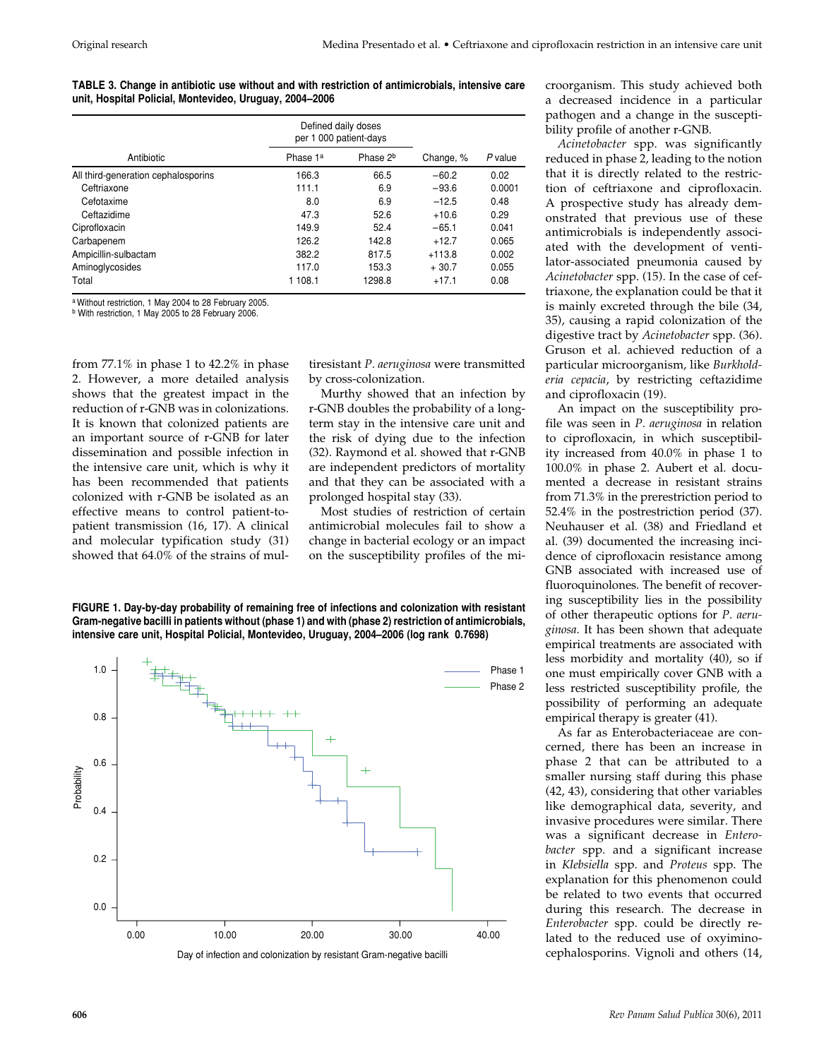**TABLE 3. Change in antibiotic use without and with restriction of antimicrobials, intensive care unit, Hospital Policial, Montevideo, Uruguay, 2004–2006**

|                                     | Defined daily doses<br>per 1 000 patient-days |                      |           |         |
|-------------------------------------|-----------------------------------------------|----------------------|-----------|---------|
| Antibiotic                          | Phase 1 <sup>a</sup>                          | Phase 2 <sup>b</sup> | Change, % | P value |
| All third-generation cephalosporins | 166.3                                         | 66.5                 | $-60.2$   | 0.02    |
| Ceftriaxone                         | 111.1                                         | 6.9                  | $-93.6$   | 0.0001  |
| Cefotaxime                          | 8.0                                           | 6.9                  | $-12.5$   | 0.48    |
| Ceftazidime                         | 47.3                                          | 52.6                 | $+10.6$   | 0.29    |
| Ciprofloxacin                       | 149.9                                         | 52.4                 | $-65.1$   | 0.041   |
| Carbapenem                          | 126.2                                         | 142.8                | $+12.7$   | 0.065   |
| Ampicillin-sulbactam                | 382.2                                         | 817.5                | $+113.8$  | 0.002   |
| Aminoglycosides                     | 117.0                                         | 153.3                | $+30.7$   | 0.055   |
| Total                               | 1 108.1                                       | 1298.8               | $+17.1$   | 0.08    |

a Without restriction, 1 May 2004 to 28 February 2005.

b With restriction, 1 May 2005 to 28 February 2006.

from 77.1% in phase 1 to 42.2% in phase 2. However, a more detailed analysis shows that the greatest impact in the reduction of r-GNB was in colonizations. It is known that colonized patients are an important source of r-GNB for later dissemination and possible infection in the intensive care unit, which is why it has been recommended that patients colonized with r-GNB be isolated as an effective means to control patient-topatient transmission (16, 17). A clinical and molecular typification study (31) showed that 64.0% of the strains of multiresistant *P. aeruginosa* were transmitted by cross-colonization.

Murthy showed that an infection by r-GNB doubles the probability of a longterm stay in the intensive care unit and the risk of dying due to the infection (32). Raymond et al. showed that r-GNB are independent predictors of mortality and that they can be associated with a prolonged hospital stay (33).

Most studies of restriction of certain antimicrobial molecules fail to show a change in bacterial ecology or an impact on the susceptibility profiles of the mi-

**FIGURE 1. Day-by-day probability of remaining free of infections and colonization with resistant Gram-negative bacilli in patients without (phase 1) and with (phase 2) restriction of antimicrobials, intensive care unit, Hospital Policial, Montevideo, Uruguay, 2004–2006 (log rank 0.7698)**



croorganism. This study achieved both a decreased incidence in a particular pathogen and a change in the susceptibility profile of another r-GNB.

*Acinetobacter* spp. was significantly reduced in phase 2, leading to the notion that it is directly related to the restriction of ceftriaxone and ciprofloxacin. A prospective study has already demonstrated that previous use of these antimicrobials is independently associated with the development of ventilator-associated pneumonia caused by *Acinetobacter* spp. (15). In the case of ceftriaxone, the explanation could be that it is mainly excreted through the bile (34, 35), causing a rapid colonization of the digestive tract by *Acinetobacter* spp. (36). Gruson et al. achieved reduction of a particular microorganism, like *Burkholderia cepacia*, by restricting ceftazidime and ciprofloxacin (19).

An impact on the susceptibility profile was seen in *P. aeruginosa* in relation to ciprofloxacin, in which susceptibility increased from 40.0% in phase 1 to 100.0% in phase 2. Aubert et al. documented a decrease in resistant strains from 71.3% in the prerestriction period to 52.4% in the postrestriction period (37). Neuhauser et al. (38) and Friedland et al. (39) documented the increasing incidence of ciprofloxacin resistance among GNB associated with increased use of fluoroquinolones. The benefit of recovering susceptibility lies in the possibility of other therapeutic options for *P. aeruginosa*. It has been shown that adequate empirical treatments are associated with less morbidity and mortality (40), so if one must empirically cover GNB with a less restricted susceptibility profile, the possibility of performing an adequate empirical therapy is greater (41).

As far as Enterobacteriaceae are concerned, there has been an increase in phase 2 that can be attributed to a smaller nursing staff during this phase (42, 43), considering that other variables like demographical data, severity, and invasive procedures were similar. There was a significant decrease in *Enterobacter* spp. and a significant increase in *Klebsiella* spp. and *Proteus* spp. The explanation for this phenomenon could be related to two events that occurred during this research. The decrease in *Enterobacter* spp. could be directly related to the reduced use of oxyiminocephalosporins. Vignoli and others (14,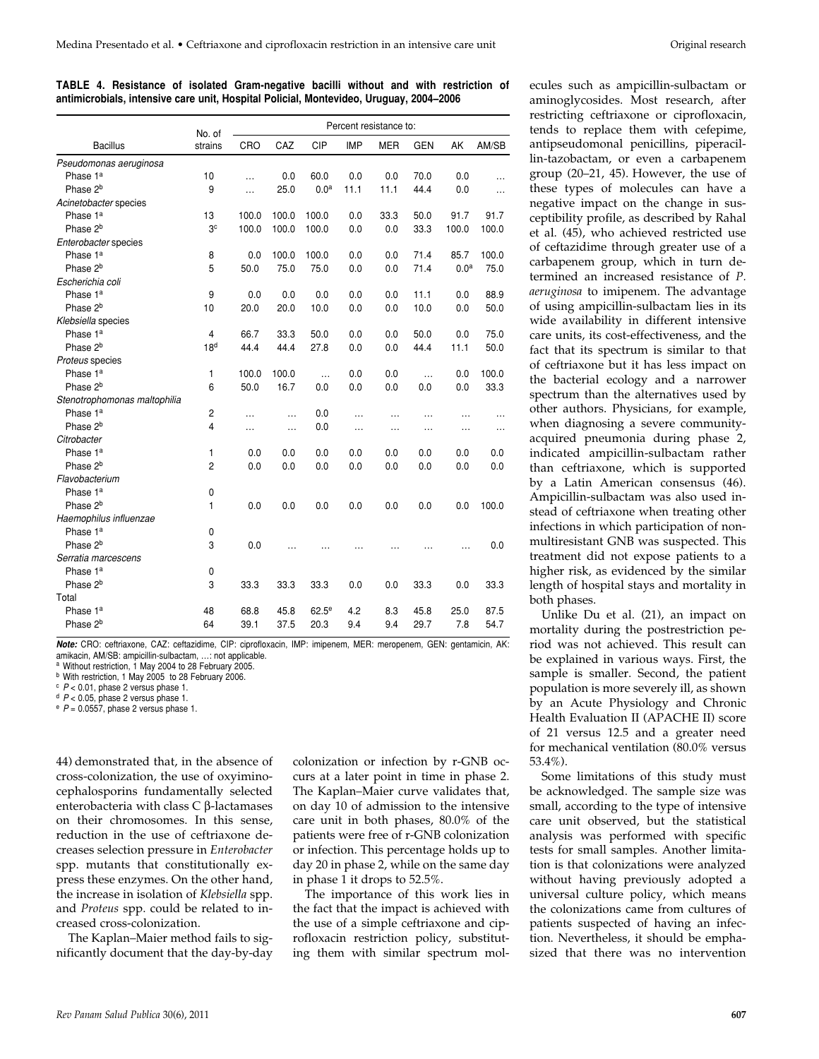|  |  | TABLE 4. Resistance of isolated Gram-negative bacilli without and with restriction of  |  |  |  |
|--|--|----------------------------------------------------------------------------------------|--|--|--|
|  |  | antimicrobials, intensive care unit, Hospital Policial, Montevideo, Uruguay, 2004–2006 |  |  |  |

|                              | No. of          | Percent resistance to: |           |                  |            |            |            |                  |           |
|------------------------------|-----------------|------------------------|-----------|------------------|------------|------------|------------|------------------|-----------|
| <b>Bacillus</b>              | strains         | CRO                    | CAZ       | CIP              | <b>IMP</b> | <b>MER</b> | <b>GEN</b> | AK               | AM/SB     |
| Pseudomonas aeruginosa       |                 |                        |           |                  |            |            |            |                  |           |
| Phase 1 <sup>a</sup>         | 10              | $\ddotsc$              | 0.0       | 60.0             | 0.0        | 0.0        | 70.0       | 0.0              | $\ddotsc$ |
| Phase 2 <sup>b</sup>         | 9               | $\ddotsc$              | 25.0      | 0.0 <sup>a</sup> | 11.1       | 11.1       | 44.4       | 0.0              | .         |
| Acinetobacter species        |                 |                        |           |                  |            |            |            |                  |           |
| Phase 1 <sup>a</sup>         | 13              | 100.0                  | 100.0     | 100.0            | 0.0        | 33.3       | 50.0       | 91.7             | 91.7      |
| Phase 2 <sup>b</sup>         | 3 <sup>c</sup>  | 100.0                  | 100.0     | 100.0            | 0.0        | 0.0        | 33.3       | 100.0            | 100.0     |
| Enterobacter species         |                 |                        |           |                  |            |            |            |                  |           |
| Phase 1ª                     | 8               | 0.0                    | 100.0     | 100.0            | 0.0        | 0.0        | 71.4       | 85.7             | 100.0     |
| Phase 2 <sup>b</sup>         | 5               | 50.0                   | 75.0      | 75.0             | 0.0        | 0.0        | 71.4       | 0.0 <sup>a</sup> | 75.0      |
| Escherichia coli             |                 |                        |           |                  |            |            |            |                  |           |
| Phase 1ª                     | 9               | 0.0                    | 0.0       | 0.0              | 0.0        | 0.0        | 11.1       | 0.0              | 88.9      |
| Phase 2 <sup>b</sup>         | 10              | 20.0                   | 20.0      | 10.0             | 0.0        | 0.0        | 10.0       | 0.0              | 50.0      |
| Klebsiella species           |                 |                        |           |                  |            |            |            |                  |           |
| Phase 1ª                     | 4               | 66.7                   | 33.3      | 50.0             | 0.0        | 0.0        | 50.0       | 0.0              | 75.0      |
| Phase 2 <sup>b</sup>         | 18 <sup>d</sup> | 44.4                   | 44.4      | 27.8             | 0.0        | 0.0        | 44.4       | 11.1             | 50.0      |
| Proteus species              |                 |                        |           |                  |            |            |            |                  |           |
| Phase 1 <sup>a</sup>         | 1               | 100.0                  | 100.0     | $\ddotsc$        | 0.0        | 0.0        | $\ddotsc$  | 0.0              | 100.0     |
| Phase 2 <sup>b</sup>         | 6               | 50.0                   | 16.7      | 0.0              | 0.0        | 0.0        | 0.0        | 0.0              | 33.3      |
| Stenotrophomonas maltophilia |                 |                        |           |                  |            |            |            |                  |           |
| Phase 1 <sup>a</sup>         | 2               |                        | .         | 0.0              |            | $\ddotsc$  | $\ddotsc$  |                  |           |
| Phase 2 <sup>b</sup>         | 4               | $\ddotsc$              | $\ddotsc$ | 0.0              | .          | $\cdots$   | $\cdots$   |                  | .         |
| Citrobacter                  |                 |                        |           |                  |            |            |            |                  |           |
| Phase 1ª                     | 1               | 0.0                    | 0.0       | 0.0              | 0.0        | 0.0        | 0.0        | 0.0              | 0.0       |
| Phase 2 <sup>b</sup>         | $\overline{2}$  | 0.0                    | 0.0       | 0.0              | 0.0        | 0.0        | $0.0\,$    | 0.0              | 0.0       |
| Flavobacterium               |                 |                        |           |                  |            |            |            |                  |           |
| Phase 1ª                     | 0               |                        |           |                  |            |            |            |                  |           |
| Phase 2 <sup>b</sup>         | 1               | 0.0                    | 0.0       | 0.0              | 0.0        | 0.0        | 0.0        | 0.0              | 100.0     |
| Haemophilus influenzae       |                 |                        |           |                  |            |            |            |                  |           |
| Phase 1 <sup>a</sup>         | 0               |                        |           |                  |            |            |            |                  |           |
| Phase 2 <sup>b</sup>         | 3               | 0.0                    |           |                  |            |            |            |                  | 0.0       |
| Serratia marcescens          |                 |                        |           |                  |            |            |            |                  |           |
| Phase 1 <sup>a</sup>         | 0               |                        |           |                  |            |            |            |                  |           |
| Phase 2 <sup>b</sup>         | 3               | 33.3                   | 33.3      | 33.3             | 0.0        | 0.0        | 33.3       | 0.0              | 33.3      |
| Total                        |                 |                        |           |                  |            |            |            |                  |           |
| Phase 1 <sup>a</sup>         | 48              | 68.8                   | 45.8      | $62.5^e$         | 4.2        | 8.3        | 45.8       | 25.0             | 87.5      |
| Phase 2 <sup>b</sup>         | 64              | 39.1                   | 37.5      | 20.3             | 9.4        | 9.4        | 29.7       | 7.8              | 54.7      |

*Note:* CRO: ceftriaxone, CAZ: ceftazidime, CIP: ciprofloxacin, IMP: imipenem, MER: meropenem, GEN: gentamicin, AK: amikacin, AM/SB: ampicillin-sulbactam, …: not applicable.

<sup>a</sup> Without restriction, 1 May 2004 to 28 February 2005.

<sup>b</sup> With restriction, 1 May 2005 to 28 February 2006.

<sup>c</sup> *P* < 0.01, phase 2 versus phase 1.

<sup>d</sup> *P* < 0.05, phase 2 versus phase 1.

 $P = 0.0557$ , phase 2 versus phase 1.

44) demonstrated that, in the absence of cross-colonization, the use of oxyiminocephalosporins fundamentally selected enterobacteria with class  $C$   $\beta$ -lactamases on their chromosomes. In this sense, reduction in the use of ceftriaxone decreases selection pressure in *Enterobacter* spp. mutants that constitutionally express these enzymes. On the other hand, the increase in isolation of *Klebsiella* spp. and *Proteus* spp. could be related to increased cross-colonization.

The Kaplan–Maier method fails to significantly document that the day-by-day colonization or infection by r-GNB occurs at a later point in time in phase 2. The Kaplan–Maier curve validates that, on day 10 of admission to the intensive care unit in both phases, 80.0% of the patients were free of r-GNB colonization or infection. This percentage holds up to day 20 in phase 2, while on the same day in phase 1 it drops to 52.5%.

The importance of this work lies in the fact that the impact is achieved with the use of a simple ceftriaxone and ciprofloxacin restriction policy, substituting them with similar spectrum mol-

ecules such as ampicillin-sulbactam or aminoglycosides. Most research, after restricting ceftriaxone or ciprofloxacin, tends to replace them with cefepime, antipseudomonal penicillins, piperacillin-tazobactam, or even a carbapenem group (20–21, 45). However, the use of these types of molecules can have a negative impact on the change in susceptibility profile, as described by Rahal et al. (45), who achieved restricted use of ceftazidime through greater use of a carbapenem group, which in turn determined an increased resistance of *P. aeruginosa* to imipenem. The advantage of using ampicillin-sulbactam lies in its wide availability in different intensive care units, its cost-effectiveness, and the fact that its spectrum is similar to that of ceftriaxone but it has less impact on the bacterial ecology and a narrower spectrum than the alternatives used by other authors. Physicians, for example, when diagnosing a severe communityacquired pneumonia during phase 2, indicated ampicillin-sulbactam rather than ceftriaxone, which is supported by a Latin American consensus (46). Ampicillin-sulbactam was also used instead of ceftriaxone when treating other infections in which participation of nonmultiresistant GNB was suspected. This treatment did not expose patients to a higher risk, as evidenced by the similar length of hospital stays and mortality in both phases.

Unlike Du et al. (21), an impact on mortality during the postrestriction period was not achieved. This result can be explained in various ways. First, the sample is smaller. Second, the patient population is more severely ill, as shown by an Acute Physiology and Chronic Health Evaluation II (APACHE II) score of 21 versus 12.5 and a greater need for mechanical ventilation (80.0% versus 53.4%).

Some limitations of this study must be acknowledged. The sample size was small, according to the type of intensive care unit observed, but the statistical analysis was performed with specific tests for small samples. Another limitation is that colonizations were analyzed without having previously adopted a universal culture policy, which means the colonizations came from cultures of patients suspected of having an infection. Nevertheless, it should be emphasized that there was no intervention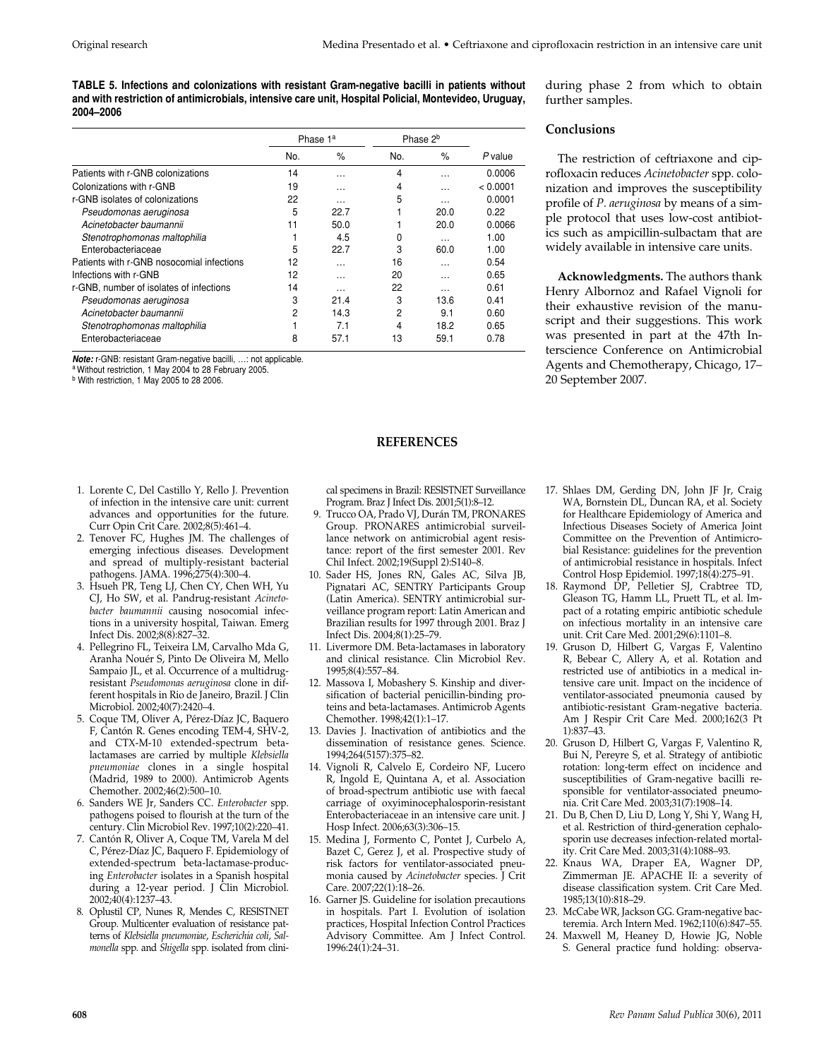**TABLE 5. Infections and colonizations with resistant Gram-negative bacilli in patients without and with restriction of antimicrobials, intensive care unit, Hospital Policial, Montevideo, Uruguay, 2004–2006**

|                                           | Phase 1 <sup>a</sup> |               | Phase 2 <sup>b</sup> |               |          |
|-------------------------------------------|----------------------|---------------|----------------------|---------------|----------|
|                                           | No.                  | $\frac{9}{6}$ | No.                  | $\frac{9}{6}$ | P value  |
| Patients with r-GNB colonizations         | 14                   | .             | 4                    | .             | 0.0006   |
| Colonizations with r-GNB                  | 19                   | $\cdots$      | 4                    | $\cdots$      | < 0.0001 |
| r-GNB isolates of colonizations           | 22                   | .             | 5                    | $\cdots$      | 0.0001   |
| Pseudomonas aeruginosa                    | 5                    | 22.7          |                      | 20.0          | 0.22     |
| Acinetobacter baumannii                   | 11                   | 50.0          |                      | 20.0          | 0.0066   |
| Stenotrophomonas maltophilia              |                      | 4.5           | 0                    | $\cdots$      | 1.00     |
| Enterobacteriaceae                        | 5                    | 22.7          | 3                    | 60.0          | 1.00     |
| Patients with r-GNB nosocomial infections | 12                   | .             | 16                   | .             | 0.54     |
| Infections with r-GNB                     | 12                   | .             | 20                   | .             | 0.65     |
| r-GNB, number of isolates of infections   | 14                   | .             | 22                   | .             | 0.61     |
| Pseudomonas aeruginosa                    | 3                    | 21.4          | 3                    | 13.6          | 0.41     |
| Acinetobacter baumannii                   | 2                    | 14.3          | 2                    | 9.1           | 0.60     |
| Stenotrophomonas maltophilia              |                      | 7.1           | 4                    | 18.2          | 0.65     |
| Enterobacteriaceae                        | 8                    | 57.1          | 13                   | 59.1          | 0.78     |

*Note:* r-GNB: resistant Gram-negative bacilli, …: not applicable.

a Without restriction, 1 May 2004 to 28 February 2005.

b With restriction, 1 May 2005 to 28 2006.

- 1. Lorente C, Del Castillo Y, Rello J. Prevention of infection in the intensive care unit: current advances and opportunities for the future. Curr Opin Crit Care. 2002;8(5):461–4.
- 2. Tenover FC, Hughes JM. The challenges of emerging infectious diseases. Development and spread of multiply-resistant bacterial pathogens. JAMA. 1996;275(4):300–4.
- 3. Hsueh PR, Teng LJ, Chen CY, Chen WH, Yu CJ, Ho SW, et al. Pandrug-resistant *Acinetobacter baumannii* causing nosocomial infections in a university hospital, Taiwan. Emerg Infect Dis. 2002;8(8):827–32.
- 4. Pellegrino FL, Teixeira LM, Carvalho Mda G, Aranha Nouér S, Pinto De Oliveira M, Mello Sampaio JL, et al. Occurrence of a multidrugresistant *Pseudomonas aeruginosa* clone in different hospitals in Rio de Janeiro, Brazil. J Clin Microbiol. 2002;40(7):2420–4.
- 5. Coque TM, Oliver A, Pérez-Díaz JC, Baquero F, Cantón R. Genes encoding TEM-4, SHV-2, and CTX-M-10 extended-spectrum betalactamases are carried by multiple *Klebsiella pneumoniae* clones in a single hospital (Madrid, 1989 to 2000). Antimicrob Agents Chemother. 2002;46(2):500–10.
- 6. Sanders WE Jr, Sanders CC. *Enterobacter* spp. pathogens poised to flourish at the turn of the century. Clin Microbiol Rev. 1997;10(2):220–41.
- 7. Cantón R, Oliver A, Coque TM, Varela M del C, Pérez-Díaz JC, Baquero F. Epidemiology of extended-spectrum beta-lactamase-producing *Enterobacter* isolates in a Spanish hospital during a 12-year period. J Clin Microbiol. 2002;40(4):1237–43.
- 8. Oplustil CP, Nunes R, Mendes C, RESISTNET Group. Multicenter evaluation of resistance patterns of *Klebsiella pneumoniae*, *Escherichia coli*, *Salmonella* spp. and *Shigella* spp. isolated from clini-

cal specimens in Brazil: RESISTNET Surveillance Program. Braz J Infect Dis. 2001;5(1):8–12.

**REFERENCES**

- 9. Trucco OA, Prado VJ, Durán TM, PRONARES Group. PRONARES antimicrobial surveillance network on antimicrobial agent resistance: report of the first semester 2001. Rev Chil Infect. 2002;19(Suppl 2):S140–8.
- 10. Sader HS, Jones RN, Gales AC, Silva JB, Pignatari AC, SENTRY Participants Group (Latin America). SENTRY antimicrobial surveillance program report: Latin American and Brazilian results for 1997 through 2001. Braz J Infect Dis. 2004;8(1):25–79.
- 11. Livermore DM. Beta-lactamases in laboratory and clinical resistance. Clin Microbiol Rev. 1995;8(4):557–84.
- 12. Massova I, Mobashery S. Kinship and diversification of bacterial penicillin-binding proteins and beta-lactamases. Antimicrob Agents Chemother. 1998;42(1):1–17.
- 13. Davies J. Inactivation of antibiotics and the dissemination of resistance genes. Science. 1994;264(5157):375–82.
- 14. Vignoli R, Calvelo E, Cordeiro NF, Lucero R, Ingold E, Quintana A, et al. Association of broad-spectrum antibiotic use with faecal carriage of oxyiminocephalosporin-resistant Enterobacteriaceae in an intensive care unit. J Hosp Infect. 2006;63(3):306–15.
- 15. Medina J, Formento C, Pontet J, Curbelo A, Bazet C, Gerez J, et al. Prospective study of risk factors for ventilator-associated pneumonia caused by *Acinetobacter* species. J Crit Care. 2007;22(1):18–26.
- 16. Garner JS. Guideline for isolation precautions in hospitals. Part I. Evolution of isolation practices, Hospital Infection Control Practices Advisory Committee. Am J Infect Control. 1996:24(1):24–31.

during phase 2 from which to obtain further samples.

#### **Conclusions**

The restriction of ceftriaxone and ciprofloxacin reduces *Acinetobacter* spp. colonization and improves the susceptibility profile of *P. aeruginosa* by means of a simple protocol that uses low-cost antibiotics such as ampicillin-sulbactam that are widely available in intensive care units.

**Acknowledgments.** The authors thank Henry Albornoz and Rafael Vignoli for their exhaustive revision of the manuscript and their suggestions. This work was presented in part at the 47th Interscience Conference on Antimicrobial Agents and Chemotherapy, Chicago, 17– 20 September 2007.

- 17. Shlaes DM, Gerding DN, John JF Jr, Craig WA, Bornstein DL, Duncan RA, et al. Society for Healthcare Epidemiology of America and Infectious Diseases Society of America Joint Committee on the Prevention of Antimicrobial Resistance: guidelines for the prevention of antimicrobial resistance in hospitals. Infect Control Hosp Epidemiol. 1997;18(4):275–91.
- 18. Raymond DP, Pelletier SJ, Crabtree TD, Gleason TG, Hamm LL, Pruett TL, et al. Impact of a rotating empiric antibiotic schedule on infectious mortality in an intensive care unit. Crit Care Med. 2001;29(6):1101–8.
- 19. Gruson D, Hilbert G, Vargas F, Valentino R, Bebear C, Allery A, et al. Rotation and restricted use of antibiotics in a medical intensive care unit. Impact on the incidence of ventilator-associated pneumonia caused by antibiotic-resistant Gram-negative bacteria. Am J Respir Crit Care Med. 2000;162(3 Pt 1):837–43.
- 20. Gruson D, Hilbert G, Vargas F, Valentino R, Bui N, Pereyre S, et al. Strategy of antibiotic rotation: long-term effect on incidence and susceptibilities of Gram-negative bacilli responsible for ventilator-associated pneumonia. Crit Care Med. 2003;31(7):1908–14.
- 21. Du B, Chen D, Liu D, Long Y, Shi Y, Wang H, et al. Restriction of third-generation cephalosporin use decreases infection-related mortality. Crit Care Med. 2003;31(4):1088–93.
- 22. Knaus WA, Draper EA, Wagner DP, Zimmerman JE. APACHE II: a severity of disease classification system. Crit Care Med. 1985;13(10):818–29.
- 23. McCabe WR, Jackson GG. Gram-negative bacteremia. Arch Intern Med. 1962;110(6):847–55.
- 24. Maxwell M, Heaney D, Howie JG, Noble S. General practice fund holding: observa-